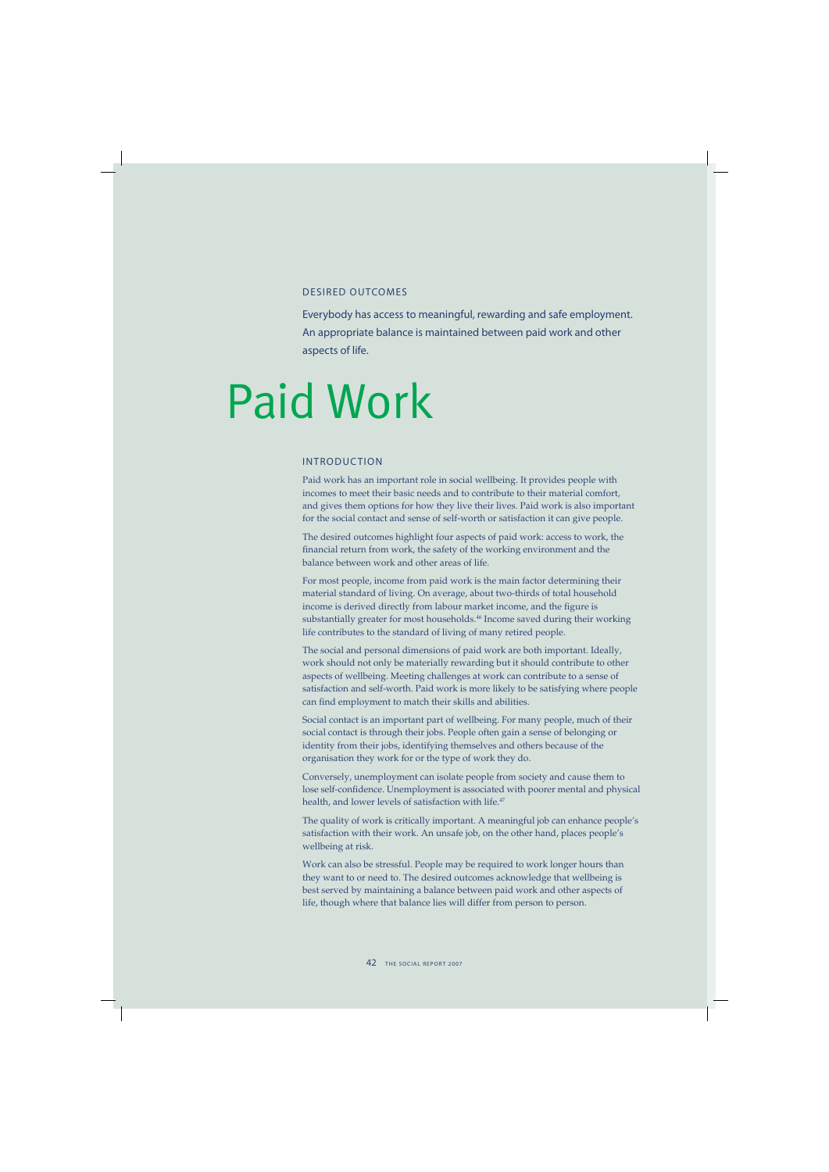## DESIRED OUTCOMES

Everybody has access to meaningful, rewarding and safe employment. An appropriate balance is maintained between paid work and other aspects of life.

# Paid Work

## INTRODUCTION

Paid work has an important role in social wellbeing. It provides people with incomes to meet their basic needs and to contribute to their material comfort, and gives them options for how they live their lives. Paid work is also important for the social contact and sense of self-worth or satisfaction it can give people.

The desired outcomes highlight four aspects of paid work: access to work, the financial return from work, the safety of the working environment and the balance between work and other areas of life.

For most people, income from paid work is the main factor determining their material standard of living. On average, about two-thirds of total household income is derived directly from labour market income, and the figure is substantially greater for most households.<sup>46</sup> Income saved during their working life contributes to the standard of living of many retired people.

The social and personal dimensions of paid work are both important. Ideally, work should not only be materially rewarding but it should contribute to other aspects of wellbeing. Meeting challenges at work can contribute to a sense of satisfaction and self-worth. Paid work is more likely to be satisfying where people can find employment to match their skills and abilities.

Social contact is an important part of wellbeing. For many people, much of their social contact is through their jobs. People often gain a sense of belonging or identity from their jobs, identifying themselves and others because of the organisation they work for or the type of work they do.

Conversely, unemployment can isolate people from society and cause them to lose self-confidence. Unemployment is associated with poorer mental and physical health, and lower levels of satisfaction with life.<sup>47</sup>

The quality of work is critically important. A meaningful job can enhance people's satisfaction with their work. An unsafe job, on the other hand, places people's wellbeing at risk.

Work can also be stressful. People may be required to work longer hours than they want to or need to. The desired outcomes acknowledge that wellbeing is best served by maintaining a balance between paid work and other aspects of life, though where that balance lies will differ from person to person.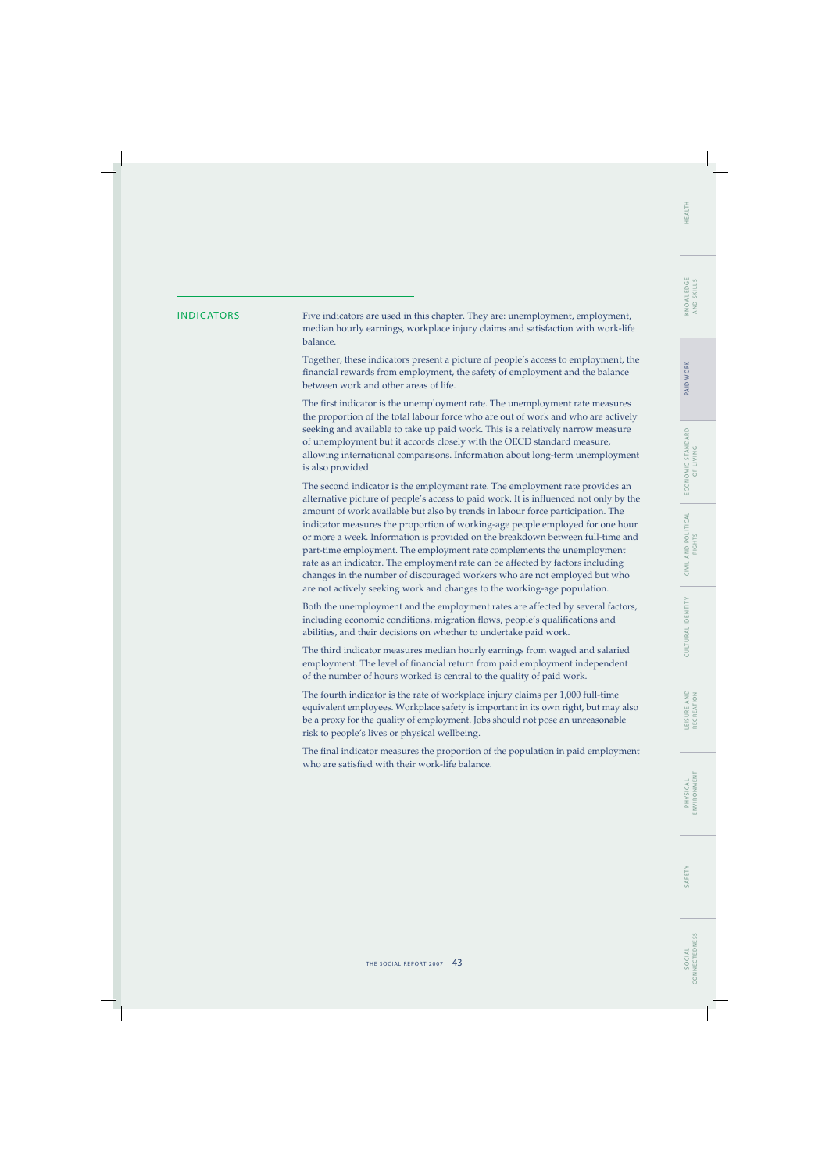INDICATORS Five indicators are used in this chapter. They are: unemployment, employment, median hourly earnings, workplace injury claims and satisfaction with work-life balance.

> Together, these indicators present a picture of people's access to employment, the financial rewards from employment, the safety of employment and the balance between work and other areas of life.

> The first indicator is the unemployment rate. The unemployment rate measures the proportion of the total labour force who are out of work and who are actively seeking and available to take up paid work. This is a relatively narrow measure of unemployment but it accords closely with the OECD standard measure, allowing international comparisons. Information about long-term unemployment is also provided.

> The second indicator is the employment rate. The employment rate provides an alternative picture of people's access to paid work. It is influenced not only by the amount of work available but also by trends in labour force participation. The indicator measures the proportion of working-age people employed for one hour or more a week. Information is provided on the breakdown between full-time and part-time employment. The employment rate complements the unemployment rate as an indicator. The employment rate can be affected by factors including changes in the number of discouraged workers who are not employed but who are not actively seeking work and changes to the working-age population.

> Both the unemployment and the employment rates are affected by several factors, including economic conditions, migration flows, people's qualifications and abilities, and their decisions on whether to undertake paid work.

The third indicator measures median hourly earnings from waged and salaried employment. The level of financial return from paid employment independent of the number of hours worked is central to the quality of paid work.

The fourth indicator is the rate of workplace injury claims per 1,000 full-time equivalent employees. Workplace safety is important in its own right, but may also be a proxy for the quality of employment. Jobs should not pose an unreasonable risk to people's lives or physical wellbeing.

The final indicator measures the proportion of the population in paid employment who are satisfied with their work-life balance.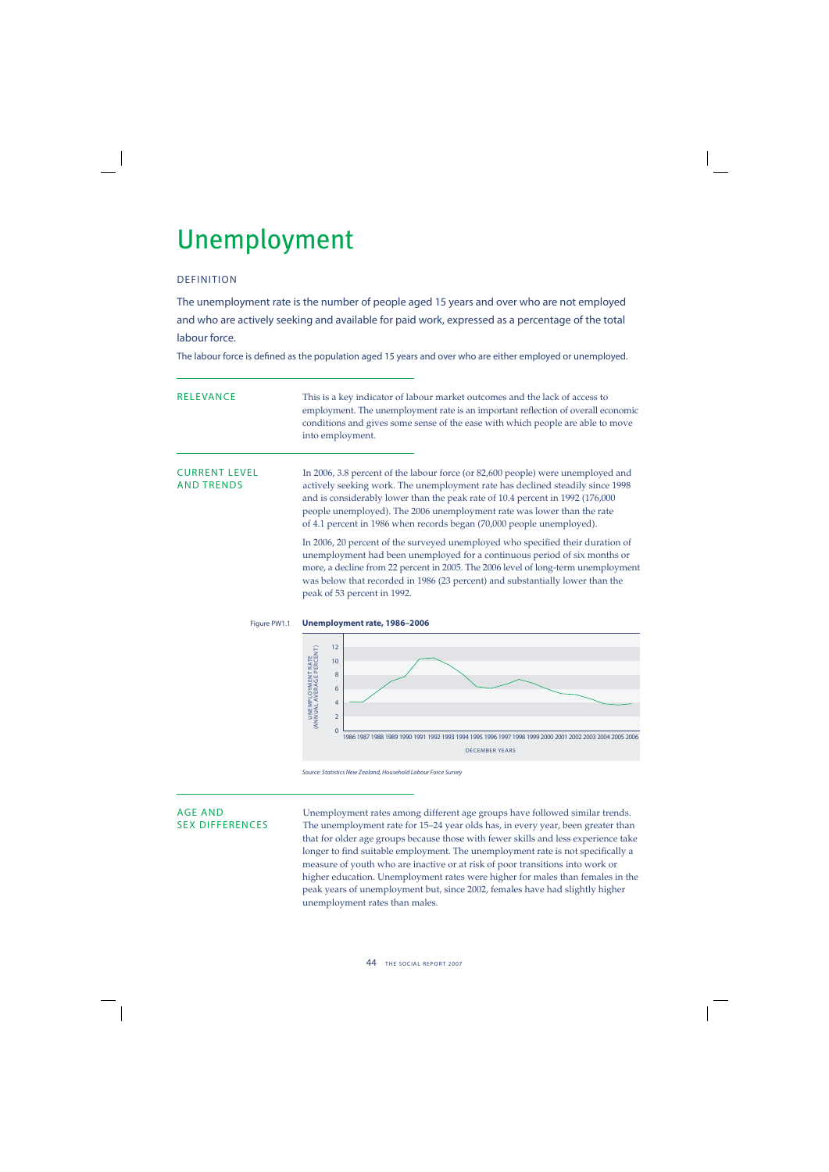## Unemployment

## DEFINITION

The unemployment rate is the number of people aged 15 years and over who are not employed and who are actively seeking and available for paid work, expressed as a percentage of the total labour force.

The labour force is defined as the population aged 15 years and over who are either employed or unemployed.

RELEVANCE This is a key indicator of labour market outcomes and the lack of access to employment. The unemployment rate is an important reflection of overall economic conditions and gives some sense of the ease with which people are able to move into employment.

CURRENT LEVEL In 2006, 3.8 percent of the labour force (or 82,600 people) were unemployed and AND TRENDS actively seeking work. The unemployment rate has declined steadily since 1998 and is considerably lower than the peak rate of 10.4 percent in 1992 (176,000 people unemployed). The 2006 unemployment rate was lower than the rate of 4.1 percent in 1986 when records began (70,000 people unemployed).

> In 2006, 20 percent of the surveyed unemployed who specified their duration of unemployment had been unemployed for a continuous period of six months or more, a decline from 22 percent in 2005. The 2006 level of long-term unemployment was below that recorded in 1986 (23 percent) and substantially lower than the peak of 53 percent in 1992.



Source: Statistics New Zealand, Household Labour Force Survey

AGE AND<br>SEX DIFFERENCES The unemployment rates among different age groups have followed similar trends.<br>SEX DIFFERENCES The unemployment rate for 15–24 year olds has, in every year, been greater than The unemployment rate for 15–24 year olds has, in every year, been greater than that for older age groups because those with fewer skills and less experience take longer to find suitable employment. The unemployment rate is not specifically a measure of youth who are inactive or at risk of poor transitions into work or higher education. Unemployment rates were higher for males than females in the peak years of unemployment but, since 2002, females have had slightly higher unemployment rates than males.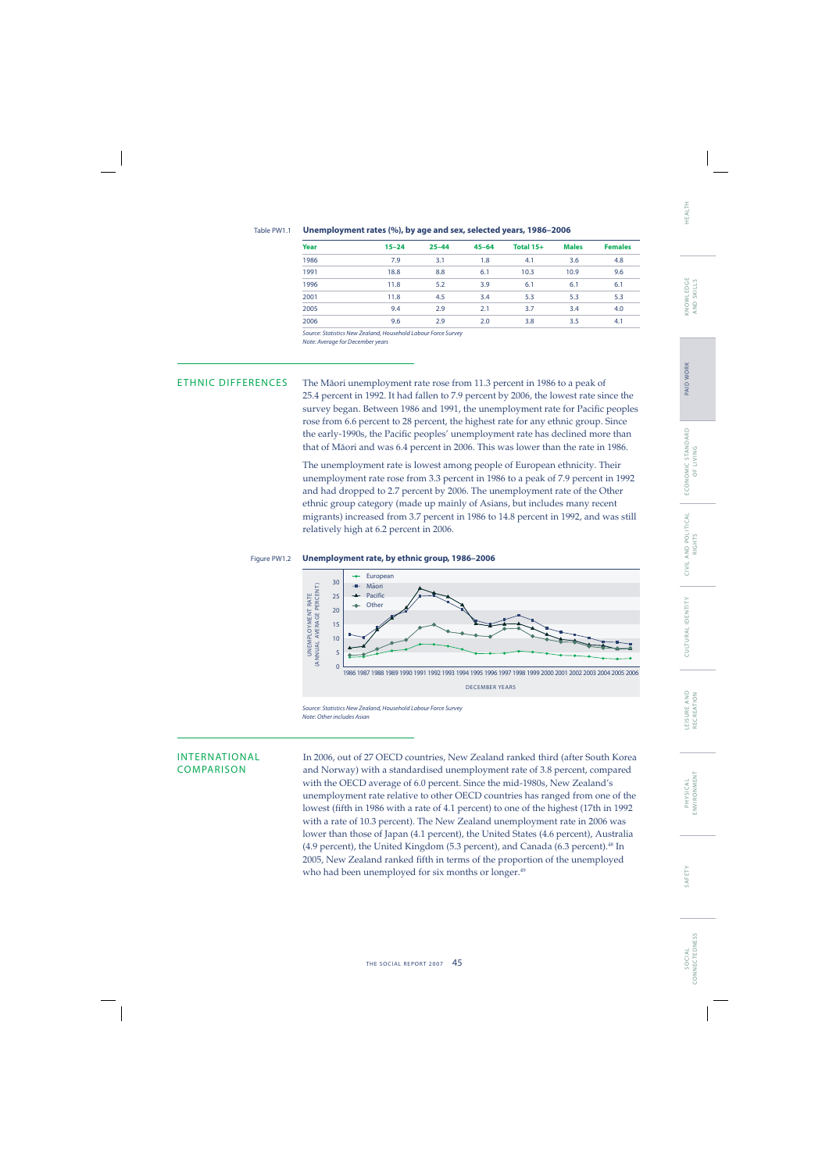### Table PW1.1 **Unemployment rates (%), by age and sex, selected years, 1986–2006**

| Year | $15 - 24$ | $25 - 44$ | $45 - 64$ | Total 15+ | <b>Males</b> | <b>Females</b> |
|------|-----------|-----------|-----------|-----------|--------------|----------------|
| 1986 | 7.9       | 3.1       | 1.8       | 4.1       | 3.6          | 4.8            |
| 1991 | 18.8      | 8.8       | 6.1       | 10.3      | 10.9         | 9.6            |
| 1996 | 11.8      | 5.2       | 3.9       | 6.1       | 6.1          | 6.1            |
| 2001 | 11.8      | 4.5       | 3.4       | 5.3       | 5.3          | 5.3            |
| 2005 | 9.4       | 2.9       | 2.1       | 3.7       | 3.4          | 4.0            |
| 2006 | 9.6       | 2.9       | 2.0       | 3.8       | 3.5          | 4.1            |

Source: Statistics New Zealand, Household Labour Force Survey Note: Average for December years

ETHNIC DIFFERENCES The Mäori unemployment rate rose from 11.3 percent in 1986 to a peak of 25.4 percent in 1992. It had fallen to 7.9 percent by 2006, the lowest rate since the survey began. Between 1986 and 1991, the unemployment rate for Pacific peoples rose from 6.6 percent to 28 percent, the highest rate for any ethnic group. Since the early-1990s, the Pacific peoples' unemployment rate has declined more than that of Mäori and was 6.4 percent in 2006. This was lower than the rate in 1986.

> The unemployment rate is lowest among people of European ethnicity. Their unemployment rate rose from 3.3 percent in 1986 to a peak of 7.9 percent in 1992 and had dropped to 2.7 percent by 2006. The unemployment rate of the Other ethnic group category (made up mainly of Asians, but includes many recent migrants) increased from 3.7 percent in 1986 to 14.8 percent in 1992, and was still relatively high at 6.2 percent in 2006.

## Figure PW1.2 **Unemployment rate, by ethnic group, 1986–2006**



Source: Statistics New Zealand, Household Labour Force Survey Note: Other includes Asian

INTERNATIONAL In 2006, out of 27 OECD countries, New Zealand ranked third (after South Korea COMPARISON and Norway) with a standardised unemployment rate of 3.8 percent, compared with the OECD average of 6.0 percent. Since the mid-1980s, New Zealand's unemployment rate relative to other OECD countries has ranged from one of the lowest (fifth in 1986 with a rate of 4.1 percent) to one of the highest (17th in 1992 with a rate of 10.3 percent). The New Zealand unemployment rate in 2006 was lower than those of Japan (4.1 percent), the United States (4.6 percent), Australia (4.9 percent), the United Kingdom (5.3 percent), and Canada (6.3 percent).<sup>48</sup> In 2005, New Zealand ranked fifth in terms of the proportion of the unemployed who had been unemployed for six months or longer.<sup>49</sup>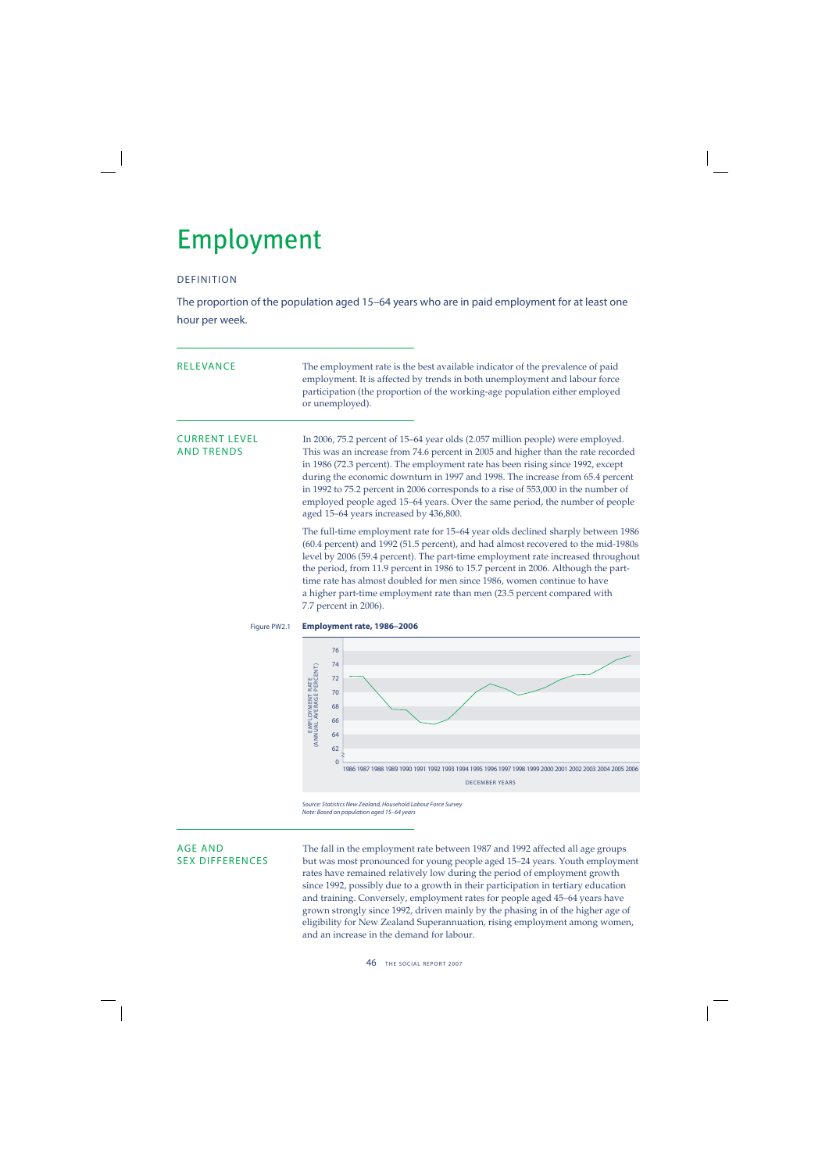## Employment

## DEFINITION

The proportion of the population aged 15–64 years who are in paid employment for at least one hour per week.

| <b>RELEVANCE</b>                          | The employment rate is the best available indicator of the prevalence of paid<br>employment. It is affected by trends in both unemployment and labour force<br>participation (the proportion of the working-age population either employed<br>or unemployed).                                                                                                                                                                                                                                                                                        |  |  |  |  |
|-------------------------------------------|------------------------------------------------------------------------------------------------------------------------------------------------------------------------------------------------------------------------------------------------------------------------------------------------------------------------------------------------------------------------------------------------------------------------------------------------------------------------------------------------------------------------------------------------------|--|--|--|--|
| <b>CURRENT LEVEL</b><br><b>AND TRENDS</b> | In 2006, 75.2 percent of 15-64 year olds (2.057 million people) were employed.<br>This was an increase from 74.6 percent in 2005 and higher than the rate recorded<br>in 1986 (72.3 percent). The employment rate has been rising since 1992, except<br>during the economic downturn in 1997 and 1998. The increase from 65.4 percent<br>in 1992 to 75.2 percent in 2006 corresponds to a rise of 553,000 in the number of<br>employed people aged 15-64 years. Over the same period, the number of people<br>aged 15-64 years increased by 436,800. |  |  |  |  |
|                                           | The full-time employment rate for 15-64 year olds declined sharply between 1986<br>(60.4 percent) and 1992 (51.5 percent), and had almost recovered to the mid-1980s<br>level by 2006 (59.4 percent). The part-time employment rate increased throughout<br>the period, from 11.9 percent in 1986 to 15.7 percent in 2006. Although the part-<br>time rate has almost doubled for men since 1986, women continue to have<br>a higher part-time employment rate than men (23.5 percent compared with<br>7.7 percent in 2006).                         |  |  |  |  |
| Figure PW2.1                              | Employment rate, 1986-2006<br>76<br>74<br>EMPLOYMENT RATE<br>(ANNUAL AVERAGE PERCENT)<br>72<br>70<br>68<br>66<br>64                                                                                                                                                                                                                                                                                                                                                                                                                                  |  |  |  |  |

Source: Statistics New Zealand, Household Labour Force Survey Note: Based on population aged 15–64 years

AGE AND The fall in the employment rate between 1987 and 1992 affected all age groups<br>SEX DIFFERENCES but was most pronounced for young people aged 15–24 years. Youth employme but was most pronounced for young people aged 15–24 years. Youth employment rates have remained relatively low during the period of employment growth since 1992, possibly due to a growth in their participation in tertiary education and training. Conversely, employment rates for people aged 45–64 years have grown strongly since 1992, driven mainly by the phasing in of the higher age of eligibility for New Zealand Superannuation, rising employment among women, and an increase in the demand for labour.

DECEMBER YEARS 1986 1992 1996 2000 2004 2006 1987 1989 1988 1993 1997 2001 1990 1994 1998 2002 1991 1995 1999 2003 2005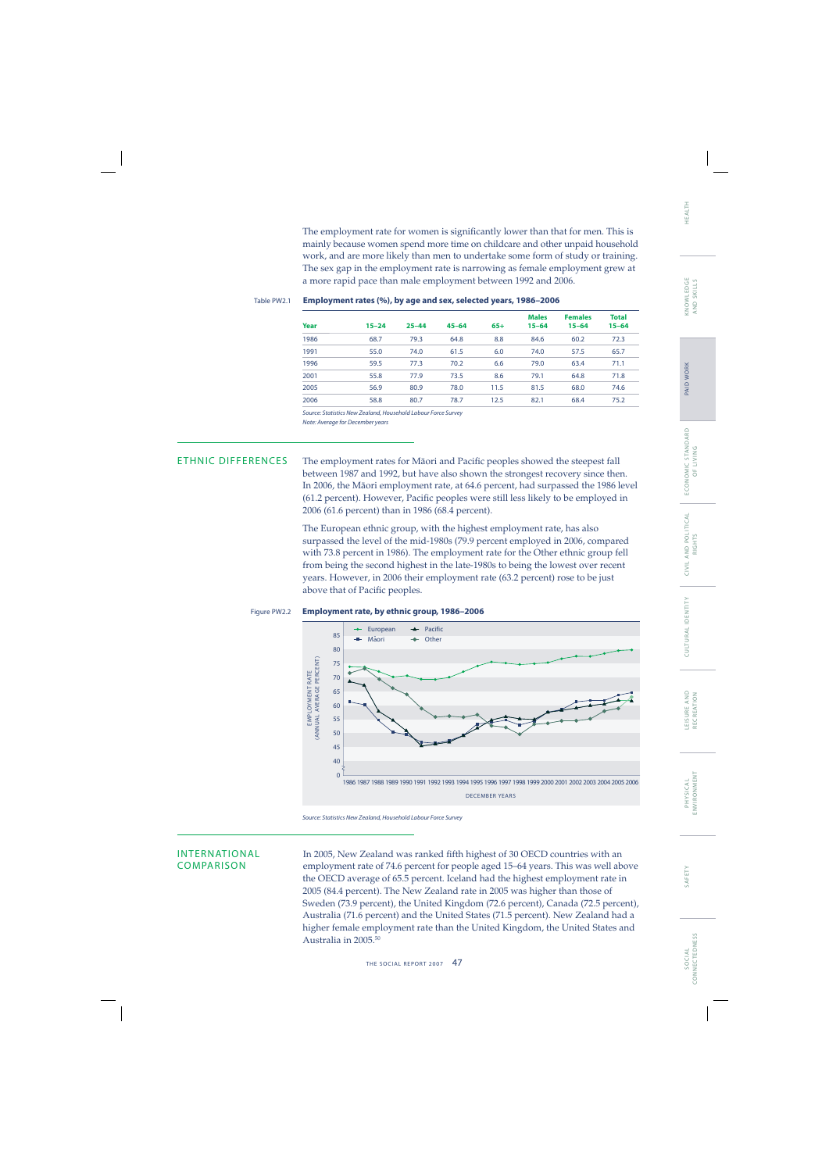The employment rate for women is significantly lower than that for men. This is mainly because women spend more time on childcare and other unpaid household work, and are more likely than men to undertake some form of study or training. The sex gap in the employment rate is narrowing as female employment grew at a more rapid pace than male employment between 1992 and 2006.

### Table PW2.1 **Employment rates (%), by age and sex, selected years, 1986–2006**

| Year | $15 - 24$ | $25 - 44$ | $45 - 64$ | $65+$ | <b>Males</b><br>$15 - 64$ | <b>Females</b><br>$15 - 64$ | <b>Total</b><br>$15 - 64$ |
|------|-----------|-----------|-----------|-------|---------------------------|-----------------------------|---------------------------|
| 1986 | 68.7      | 79.3      | 64.8      | 8.8   | 84.6                      | 60.2                        | 72.3                      |
| 1991 | 55.0      | 74.0      | 61.5      | 6.0   | 74.0                      | 57.5                        | 65.7                      |
| 1996 | 59.5      | 77.3      | 70.2      | 6.6   | 79.0                      | 63.4                        | 71.1                      |
| 2001 | 55.8      | 77.9      | 73.5      | 8.6   | 79.1                      | 64.8                        | 71.8                      |
| 2005 | 56.9      | 80.9      | 78.0      | 11.5  | 81.5                      | 68.0                        | 74.6                      |
| 2006 | 58.8      | 80.7      | 78.7      | 12.5  | 82.1                      | 68.4                        | 75.2                      |
|      |           |           |           |       |                           |                             |                           |

Source: Statistics New Zealand, Household Labour Force Survey Note: Average for December years

ETHNIC DIFFERENCES The employment rates for Māori and Pacific peoples showed the steepest fall between 1987 and 1992, but have also shown the strongest recovery since then. In 2006, the Mäori employment rate, at 64.6 percent, had surpassed the 1986 level (61.2 percent). However, Pacific peoples were still less likely to be employed in 2006 (61.6 percent) than in 1986 (68.4 percent).

> The European ethnic group, with the highest employment rate, has also surpassed the level of the mid-1980s (79.9 percent employed in 2006, compared with 73.8 percent in 1986). The employment rate for the Other ethnic group fell from being the second highest in the late-1980s to being the lowest over recent years. However, in 2006 their employment rate (63.2 percent) rose to be just above that of Pacific peoples.

### Figure PW2.2 **Employment rate, by ethnic group, 1986–2006**



Source: Statistics New Zealand, Household Labour Force Survey

INTERNATIONAL In 2005, New Zealand was ranked fifth highest of 30 OECD countries with an<br>COMPARISON employment rate of 74.6 percent for people aged 15–64 years. This was well ab employment rate of 74.6 percent for people aged 15–64 years. This was well above the OECD average of 65.5 percent. Iceland had the highest employment rate in 2005 (84.4 percent). The New Zealand rate in 2005 was higher than those of Sweden (73.9 percent), the United Kingdom (72.6 percent), Canada (72.5 percent), Australia (71.6 percent) and the United States (71.5 percent). New Zealand had a higher female employment rate than the United Kingdom, the United States and Australia in 2005.50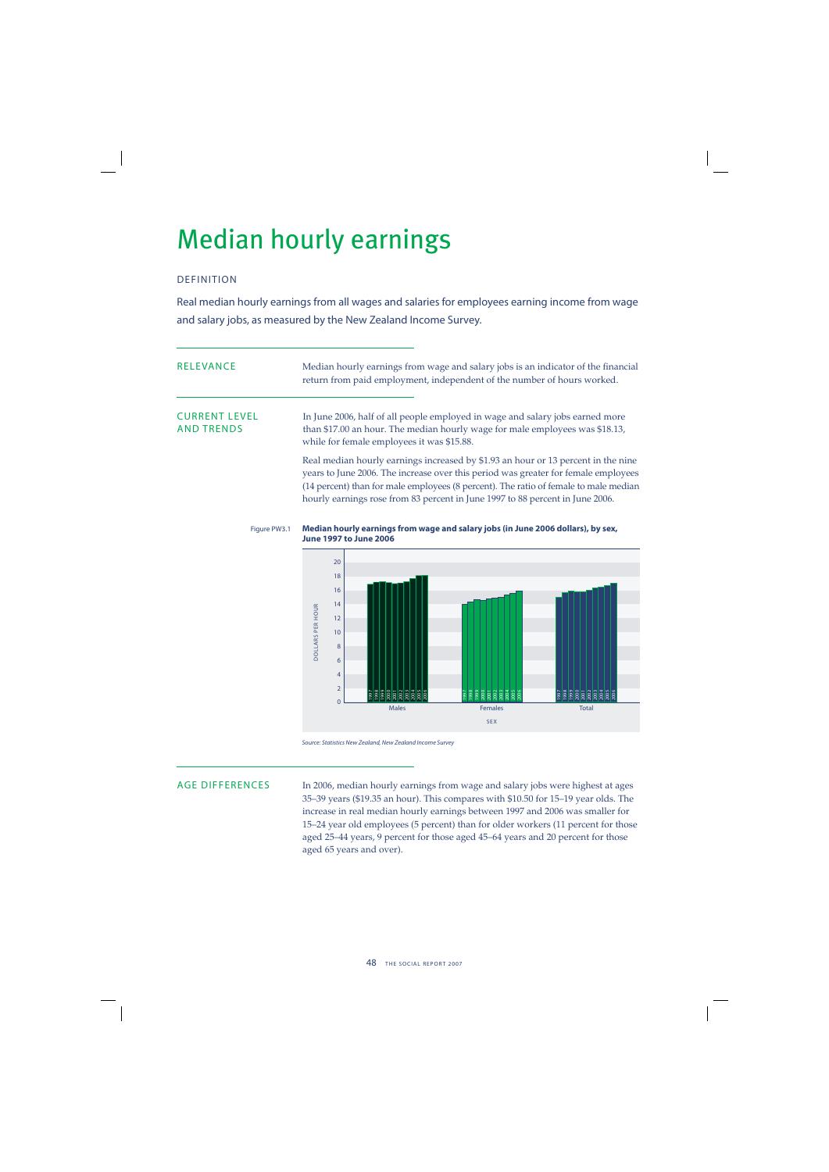## Median hourly earnings

## DEFINITION

Real median hourly earnings from all wages and salaries for employees earning income from wage and salary jobs, as measured by the New Zealand Income Survey.

| RELEVANCE                                 | Median hourly earnings from wage and salary jobs is an indicator of the financial<br>return from paid employment, independent of the number of hours worked.                                                                                                                                                                                     |
|-------------------------------------------|--------------------------------------------------------------------------------------------------------------------------------------------------------------------------------------------------------------------------------------------------------------------------------------------------------------------------------------------------|
| <b>CURRENT LEVEL</b><br><b>AND TRENDS</b> | In June 2006, half of all people employed in wage and salary jobs earned more<br>than \$17.00 an hour. The median hourly wage for male employees was \$18.13,<br>while for female employees it was \$15.88.                                                                                                                                      |
|                                           | Real median hourly earnings increased by \$1.93 an hour or 13 percent in the nine<br>years to June 2006. The increase over this period was greater for female employees<br>(14 percent) than for male employees (8 percent). The ratio of female to male median<br>hourly earnings rose from 83 percent in June 1997 to 88 percent in June 2006. |

### Figure PW3.1 **Median hourly earnings from wage and salary jobs (in June 2006 dollars), by sex, June 1997 to June 2006**



Source: Statistics New Zealand, New Zealand Income Survey

AGE DIFFERENCES In 2006, median hourly earnings from wage and salary jobs were highest at ages 35–39 years (\$19.35 an hour). This compares with \$10.50 for 15–19 year olds. The increase in real median hourly earnings between 1997 and 2006 was smaller for 15–24 year old employees (5 percent) than for older workers (11 percent for those aged 25–44 years, 9 percent for those aged 45–64 years and 20 percent for those aged 65 years and over).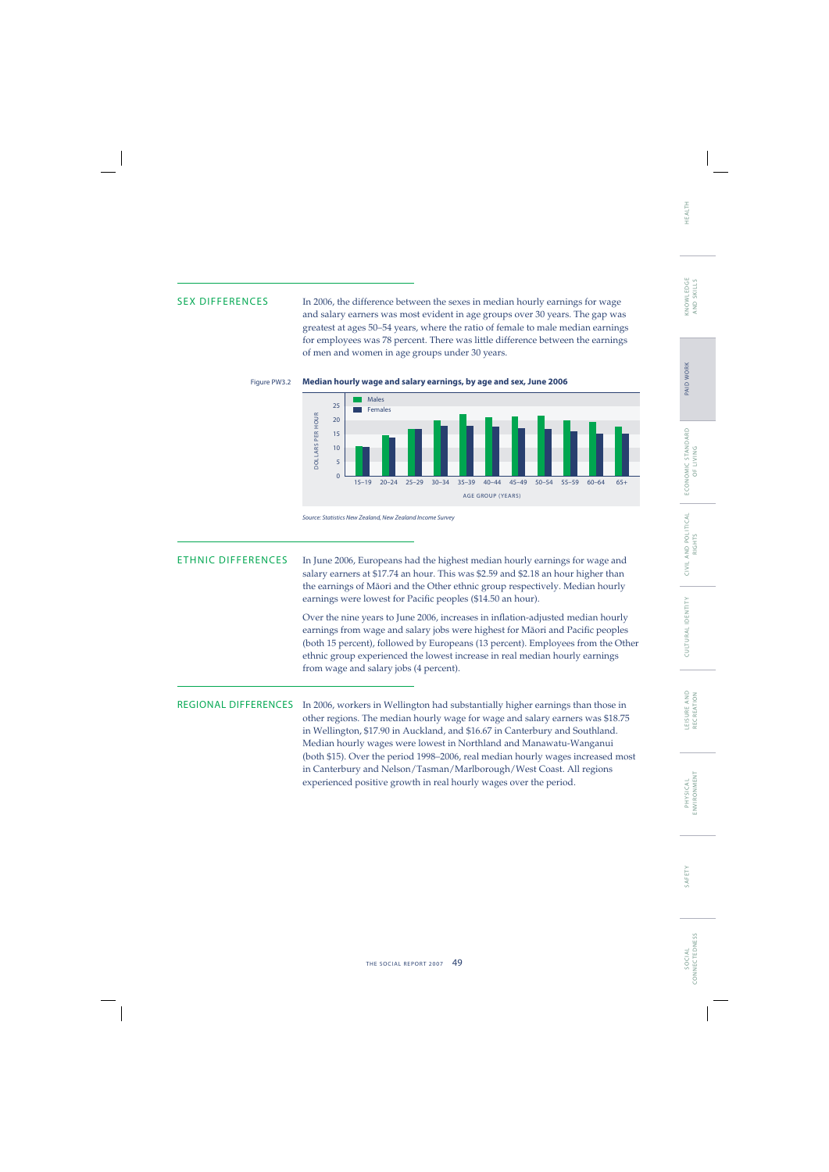SEX DIFFERENCES In 2006, the difference between the sexes in median hourly earnings for wage and salary earners was most evident in age groups over 30 years. The gap was greatest at ages 50–54 years, where the ratio of female to male median earnings for employees was 78 percent. There was little difference between the earnings of men and women in age groups under 30 years.







ETHNIC DIFFERENCES In June 2006, Europeans had the highest median hourly earnings for wage and salary earners at \$17.74 an hour. This was \$2.59 and \$2.18 an hour higher than the earnings of Mäori and the Other ethnic group respectively. Median hourly earnings were lowest for Pacific peoples (\$14.50 an hour).

> Over the nine years to June 2006, increases in inflation-adjusted median hourly earnings from wage and salary jobs were highest for Māori and Pacific peoples (both 15 percent), followed by Europeans (13 percent). Employees from the Other ethnic group experienced the lowest increase in real median hourly earnings from wage and salary jobs (4 percent).

REGIONAL DIFFERENCES In 2006, workers in Wellington had substantially higher earnings than those in other regions. The median hourly wage for wage and salary earners was \$18.75 in Wellington, \$17.90 in Auckland, and \$16.67 in Canterbury and Southland. Median hourly wages were lowest in Northland and Manawatu-Wanganui (both \$15). Over the period 1998–2006, real median hourly wages increased most in Canterbury and Nelson/Tasman/Marlborough/West Coast. All regions experienced positive growth in real hourly wages over the period.

SAFETY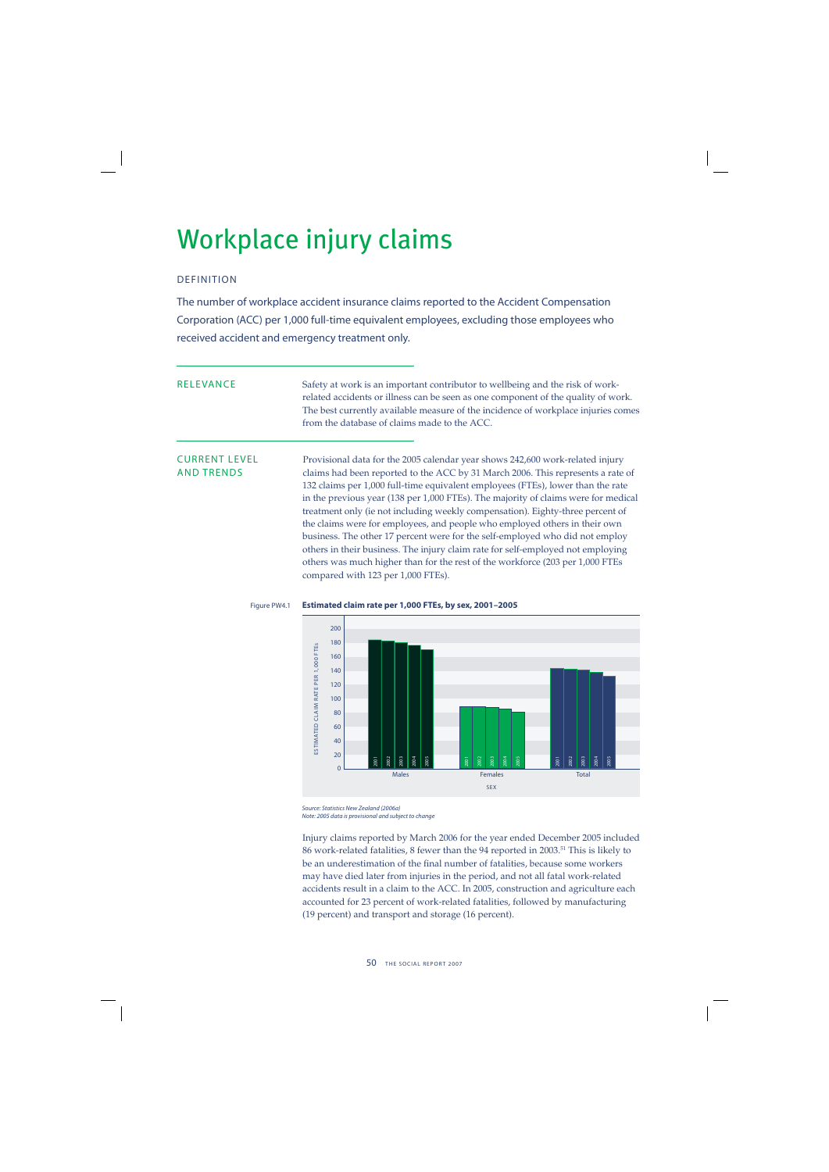## Workplace injury claims

## DEFINITION

The number of workplace accident insurance claims reported to the Accident Compensation Corporation (ACC) per 1,000 full-time equivalent employees, excluding those employees who received accident and emergency treatment only.

RELEVANCE Safety at work is an important contributor to wellbeing and the risk of workrelated accidents or illness can be seen as one component of the quality of work. The best currently available measure of the incidence of workplace injuries comes from the database of claims made to the ACC.

CURRENT LEVEL Provisional data for the 2005 calendar year shows 242,600 work-related injury AND TRENDS claims had been reported to the ACC by 31 March 2006. This represents a rate of 132 claims per 1,000 full-time equivalent employees (FTEs), lower than the rate in the previous year (138 per 1,000 FTEs). The majority of claims were for medical treatment only (ie not including weekly compensation). Eighty-three percent of the claims were for employees, and people who employed others in their own business. The other 17 percent were for the self-employed who did not employ others in their business. The injury claim rate for self-employed not employing others was much higher than for the rest of the workforce (203 per 1,000 FTEs compared with 123 per 1,000 FTEs).



## Figure PW4.1 **Estimated claim rate per 1,000 FTEs, by sex, 2001–2005**

Source: Statistics New Zealand (2006a)

Injury claims reported by March 2006 for the year ended December 2005 included 86 work-related fatalities, 8 fewer than the 94 reported in 2003.51 This is likely to be an underestimation of the final number of fatalities, because some workers may have died later from injuries in the period, and not all fatal work-related accidents result in a claim to the ACC. In 2005, construction and agriculture each accounted for 23 percent of work-related fatalities, followed by manufacturing (19 percent) and transport and storage (16 percent).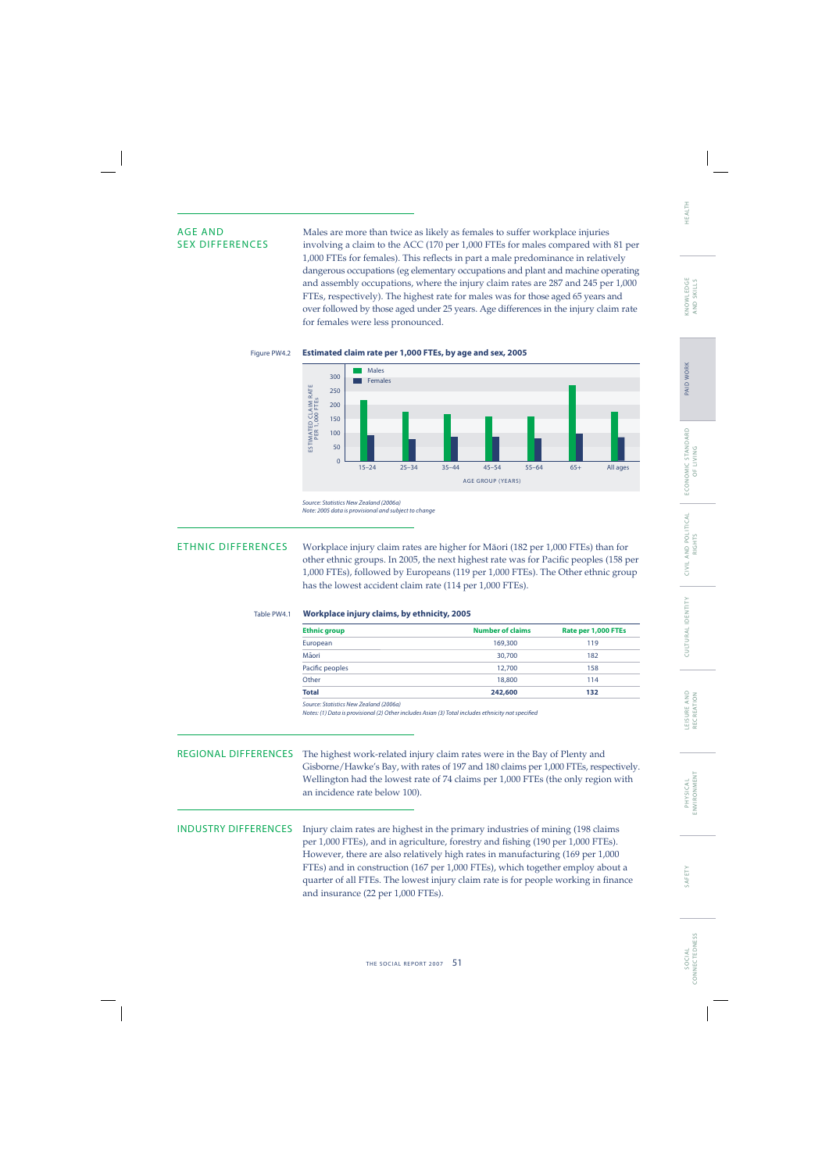AGE AND Males are more than twice as likely as females to suffer workplace injuries<br>SEX DIFFERENCES involving a claim to the ACC (170 per 1.000 FTEs for males compared with involving a claim to the ACC (170 per 1,000 FTEs for males compared with 81 per 1,000 FTEs for females). This reflects in part a male predominance in relatively dangerous occupations (eg elementary occupations and plant and machine operating and assembly occupations, where the injury claim rates are 287 and 245 per 1,000 FTEs, respectively). The highest rate for males was for those aged 65 years and over followed by those aged under 25 years. Age differences in the injury claim rate for females were less pronounced.





Source: Statistics New Zealand (2006a) Note: 2005 data is provisional and subject to change

ETHNIC DIFFERENCES Workplace injury claim rates are higher for Mäori (182 per 1,000 FTEs) than for other ethnic groups. In 2005, the next highest rate was for Pacific peoples (158 per 1,000 FTEs), followed by Europeans (119 per 1,000 FTEs). The Other ethnic group has the lowest accident claim rate (114 per 1,000 FTEs).

### Table PW4.1 **Workplace injury claims, by ethnicity, 2005**

| <b>Ethnic group</b> | <b>Number of claims</b> | Rate per 1,000 FTEs |
|---------------------|-------------------------|---------------------|
| European            | 169,300                 | 119                 |
| Māori               | 30,700                  | 182                 |
| Pacific peoples     | 12,700                  | 158                 |
| Other               | 18,800                  | 114                 |
| <b>Total</b>        | 242,600                 | 132                 |
|                     |                         |                     |

Source: Statistics New Zealand (2006a)

Notes: (1) Data is provisional (2) Other includes Asian (3) Total includes ethnicity not specified

REGIONAL DIFFERENCES The highest work-related injury claim rates were in the Bay of Plenty and Gisborne/Hawke's Bay, with rates of 197 and 180 claims per 1,000 FTEs, respectively. Wellington had the lowest rate of 74 claims per 1,000 FTEs (the only region with an incidence rate below 100).

INDUSTRY DIFFERENCES Injury claim rates are highest in the primary industries of mining (198 claims per 1,000 FTEs), and in agriculture, forestry and fishing (190 per 1,000 FTEs). However, there are also relatively high rates in manufacturing (169 per 1,000 FTEs) and in construction (167 per 1,000 FTEs), which together employ about a quarter of all FTEs. The lowest injury claim rate is for people working in finance and insurance (22 per 1,000 FTEs).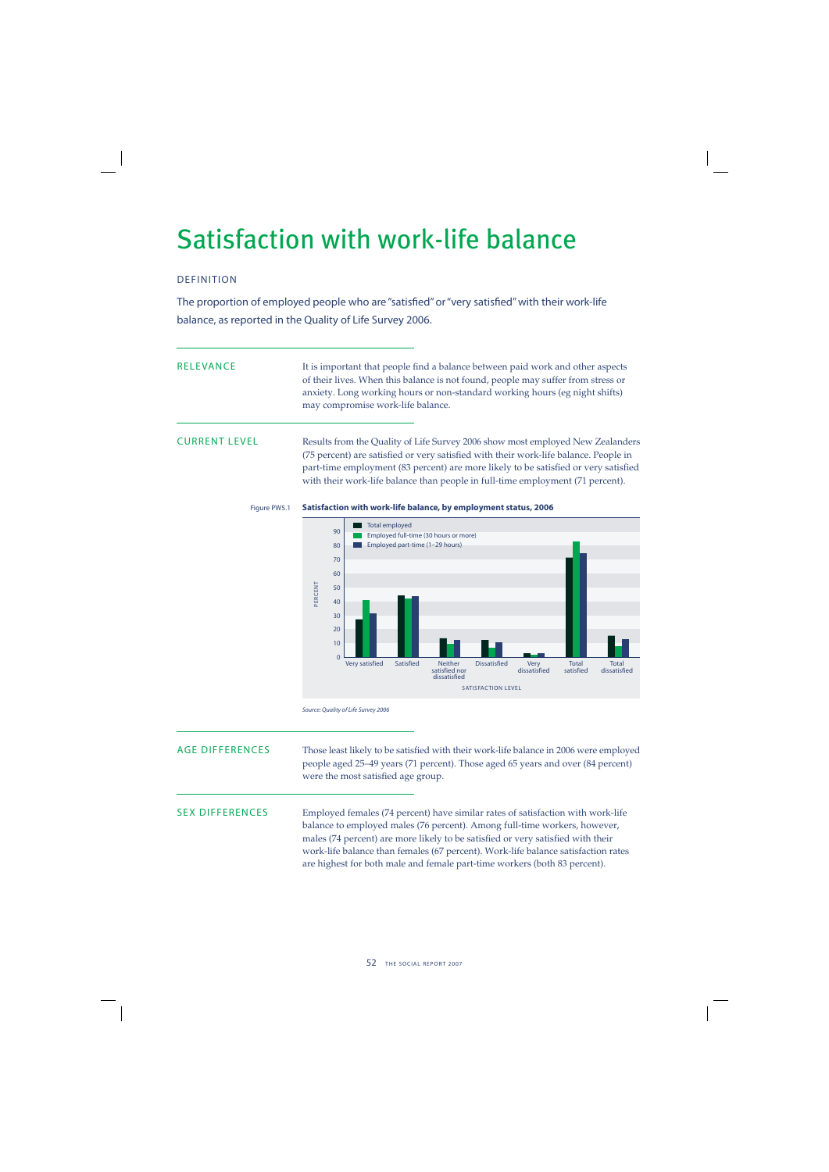## Satisfaction with work-life balance

## DEFINITION

The proportion of employed people who are "satisfied" or "very satisfied" with their work-life balance, as reported in the Quality of Life Survey 2006.

| RELEVANCE | It is important that people find a balance between paid work and other aspects   |
|-----------|----------------------------------------------------------------------------------|
|           | of their lives. When this balance is not found, people may suffer from stress or |
|           | anxiety. Long working hours or non-standard working hours (eg night shifts)      |
|           | may compromise work-life balance.                                                |

CURRENT LEVEL Results from the Quality of Life Survey 2006 show most employed New Zealanders (75 percent) are satisfied or very satisfied with their work-life balance. People in part-time employment (83 percent) are more likely to be satisfied or very satisfied with their work-life balance than people in full-time employment (71 percent).

## Figure PW5.1 **Satisfaction with work-life balance, by employment status, 2006**



Source: Quality of Life Survey 2006

AGE DIFFERENCES Those least likely to be satisfied with their work-life balance in 2006 were employed people aged 25–49 years (71 percent). Those aged 65 years and over (84 percent) were the most satisfied age group.

SEX DIFFERENCES Employed females (74 percent) have similar rates of satisfaction with work-life balance to employed males (76 percent). Among full-time workers, however, males (74 percent) are more likely to be satisfied or very satisfied with their work-life balance than females (67 percent). Work-life balance satisfaction rates are highest for both male and female part-time workers (both 83 percent).